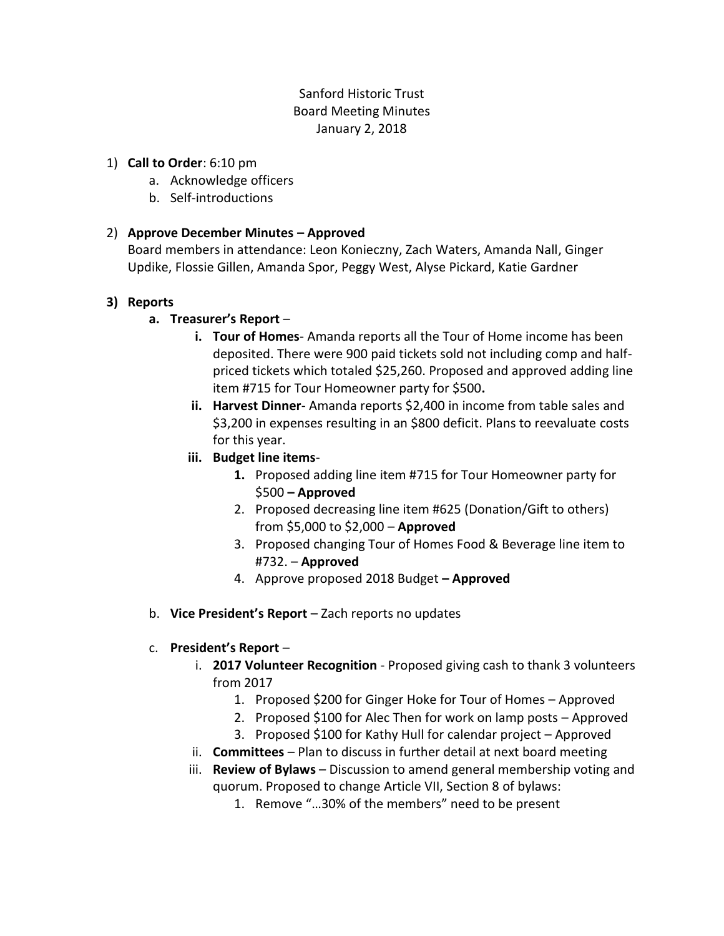# Sanford Historic Trust Board Meeting Minutes January 2, 2018

#### 1) **Call to Order**: 6:10 pm

- a. Acknowledge officers
- b. Self-introductions

## 2) **Approve December Minutes – Approved**

Board members in attendance: Leon Konieczny, Zach Waters, Amanda Nall, Ginger Updike, Flossie Gillen, Amanda Spor, Peggy West, Alyse Pickard, Katie Gardner

## **3) Reports**

# **a. Treasurer's Report** –

- **i. Tour of Homes** Amanda reports all the Tour of Home income has been deposited. There were 900 paid tickets sold not including comp and halfpriced tickets which totaled \$25,260. Proposed and approved adding line item #715 for Tour Homeowner party for \$500**.**
- **ii. Harvest Dinner** Amanda reports \$2,400 in income from table sales and \$3,200 in expenses resulting in an \$800 deficit. Plans to reevaluate costs for this year.
- **iii. Budget line items**-
	- **1.** Proposed adding line item #715 for Tour Homeowner party for \$500 **– Approved**
	- 2. Proposed decreasing line item #625 (Donation/Gift to others) from \$5,000 to \$2,000 – **Approved**
	- 3. Proposed changing Tour of Homes Food & Beverage line item to #732. – **Approved**
	- 4. Approve proposed 2018 Budget **– Approved**
- b. **Vice President's Report** Zach reports no updates

## c. **President's Report** –

- i. **2017 Volunteer Recognition** Proposed giving cash to thank 3 volunteers from 2017
	- 1. Proposed \$200 for Ginger Hoke for Tour of Homes Approved
	- 2. Proposed \$100 for Alec Then for work on lamp posts Approved
	- 3. Proposed \$100 for Kathy Hull for calendar project Approved
- ii. **Committees** Plan to discuss in further detail at next board meeting
- iii. **Review of Bylaws**  Discussion to amend general membership voting and quorum. Proposed to change Article VII, Section 8 of bylaws:
	- 1. Remove "…30% of the members" need to be present